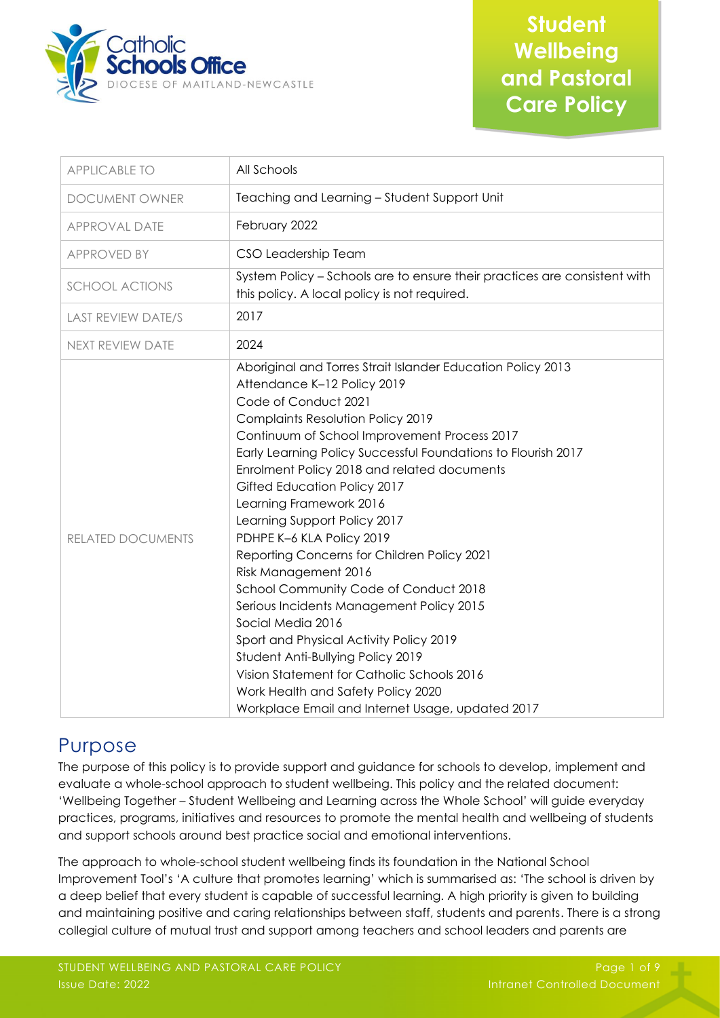

| <b>APPLICABLE TO</b>      | All Schools                                                                                                                                                                                                                                                                                                                                                                                                                                                                                                                                                                                                                                                                                                                                                                                                                                              |
|---------------------------|----------------------------------------------------------------------------------------------------------------------------------------------------------------------------------------------------------------------------------------------------------------------------------------------------------------------------------------------------------------------------------------------------------------------------------------------------------------------------------------------------------------------------------------------------------------------------------------------------------------------------------------------------------------------------------------------------------------------------------------------------------------------------------------------------------------------------------------------------------|
| DOCUMENT OWNER            | Teaching and Learning - Student Support Unit                                                                                                                                                                                                                                                                                                                                                                                                                                                                                                                                                                                                                                                                                                                                                                                                             |
| <b>APPROVAL DATE</b>      | February 2022                                                                                                                                                                                                                                                                                                                                                                                                                                                                                                                                                                                                                                                                                                                                                                                                                                            |
| <b>APPROVED BY</b>        | CSO Leadership Team                                                                                                                                                                                                                                                                                                                                                                                                                                                                                                                                                                                                                                                                                                                                                                                                                                      |
| <b>SCHOOL ACTIONS</b>     | System Policy - Schools are to ensure their practices are consistent with<br>this policy. A local policy is not required.                                                                                                                                                                                                                                                                                                                                                                                                                                                                                                                                                                                                                                                                                                                                |
| <b>LAST REVIEW DATE/S</b> | 2017                                                                                                                                                                                                                                                                                                                                                                                                                                                                                                                                                                                                                                                                                                                                                                                                                                                     |
| NEXT REVIEW DATE          | 2024                                                                                                                                                                                                                                                                                                                                                                                                                                                                                                                                                                                                                                                                                                                                                                                                                                                     |
| RELATED DOCUMENTS         | Aboriginal and Torres Strait Islander Education Policy 2013<br>Attendance K-12 Policy 2019<br>Code of Conduct 2021<br>Complaints Resolution Policy 2019<br>Continuum of School Improvement Process 2017<br>Early Learning Policy Successful Foundations to Flourish 2017<br>Enrolment Policy 2018 and related documents<br>Gifted Education Policy 2017<br>Learning Framework 2016<br>Learning Support Policy 2017<br>PDHPE K-6 KLA Policy 2019<br>Reporting Concerns for Children Policy 2021<br>Risk Management 2016<br>School Community Code of Conduct 2018<br>Serious Incidents Management Policy 2015<br>Social Media 2016<br>Sport and Physical Activity Policy 2019<br>Student Anti-Bullying Policy 2019<br>Vision Statement for Catholic Schools 2016<br>Work Health and Safety Policy 2020<br>Workplace Email and Internet Usage, updated 2017 |

# Purpose

The purpose of this policy is to provide support and guidance for schools to develop, implement and evaluate a whole-school approach to student wellbeing. This policy and the related document: 'Wellbeing Together – Student Wellbeing and Learning across the Whole School' will guide everyday practices, programs, initiatives and resources to promote the mental health and wellbeing of students and support schools around best practice social and emotional interventions.

The approach to whole-school student wellbeing finds its foundation in the National School Improvement Tool's 'A culture that promotes learning' which is summarised as: 'The school is driven by a deep belief that every student is capable of successful learning. A high priority is given to building and maintaining positive and caring relationships between staff, students and parents. There is a strong collegial culture of mutual trust and support among teachers and school leaders and parents are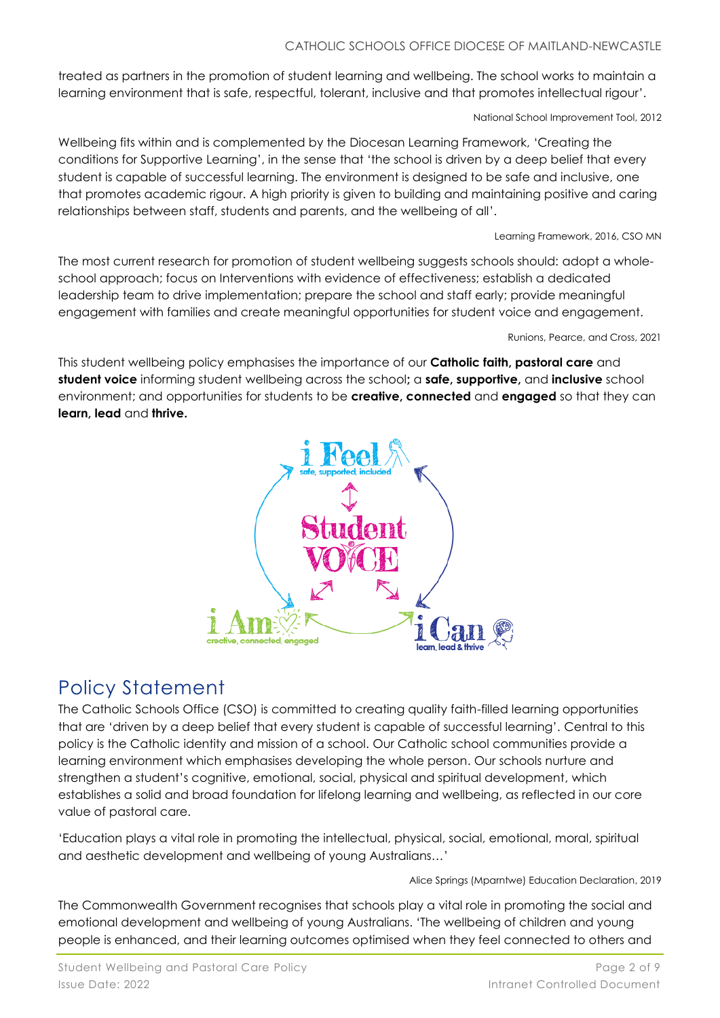#### CATHOLIC SCHOOLS OFFICE DIOCESE OF MAITLAND-NEWCASTLE

treated as partners in the promotion of student learning and wellbeing. The school works to maintain a learning environment that is safe, respectful, tolerant, inclusive and that promotes intellectual rigour'.

National School Improvement Tool, 2012

Wellbeing fits within and is complemented by the Diocesan Learning Framework, 'Creating the conditions for Supportive Learning', in the sense that 'the school is driven by a deep belief that every student is capable of successful learning. The environment is designed to be safe and inclusive, one that promotes academic rigour. A high priority is given to building and maintaining positive and caring relationships between staff, students and parents, and the wellbeing of all'.

Learning Framework, 2016, CSO MN

The most current research for promotion of student wellbeing suggests schools should: adopt a wholeschool approach; focus on Interventions with evidence of effectiveness; establish a dedicated leadership team to drive implementation; prepare the school and staff early; provide meaningful engagement with families and create meaningful opportunities for student voice and engagement.

Runions, Pearce, and Cross, 2021

This student wellbeing policy emphasises the importance of our **Catholic faith, pastoral care** and **student voice** informing student wellbeing across the school**;** a **safe, supportive,** and **inclusive** school environment; and opportunities for students to be **creative, connected** and **engaged** so that they can **learn, lead** and **thrive.**



# Policy Statement

The Catholic Schools Office (CSO) is committed to creating quality faith-filled learning opportunities that are 'driven by a deep belief that every student is capable of successful learning'. Central to this policy is the Catholic identity and mission of a school. Our Catholic school communities provide a learning environment which emphasises developing the whole person. Our schools nurture and strengthen a student's cognitive, emotional, social, physical and spiritual development, which establishes a solid and broad foundation for lifelong learning and wellbeing, as reflected in our core value of pastoral care.

'Education plays a vital role in promoting the intellectual, physical, social, emotional, moral, spiritual and aesthetic development and wellbeing of young Australians…'

Alice Springs (Mparntwe) Education Declaration, 2019

The Commonwealth Government recognises that schools play a vital role in promoting the social and emotional development and wellbeing of young Australians. 'The wellbeing of children and young people is enhanced, and their learning outcomes optimised when they feel connected to others and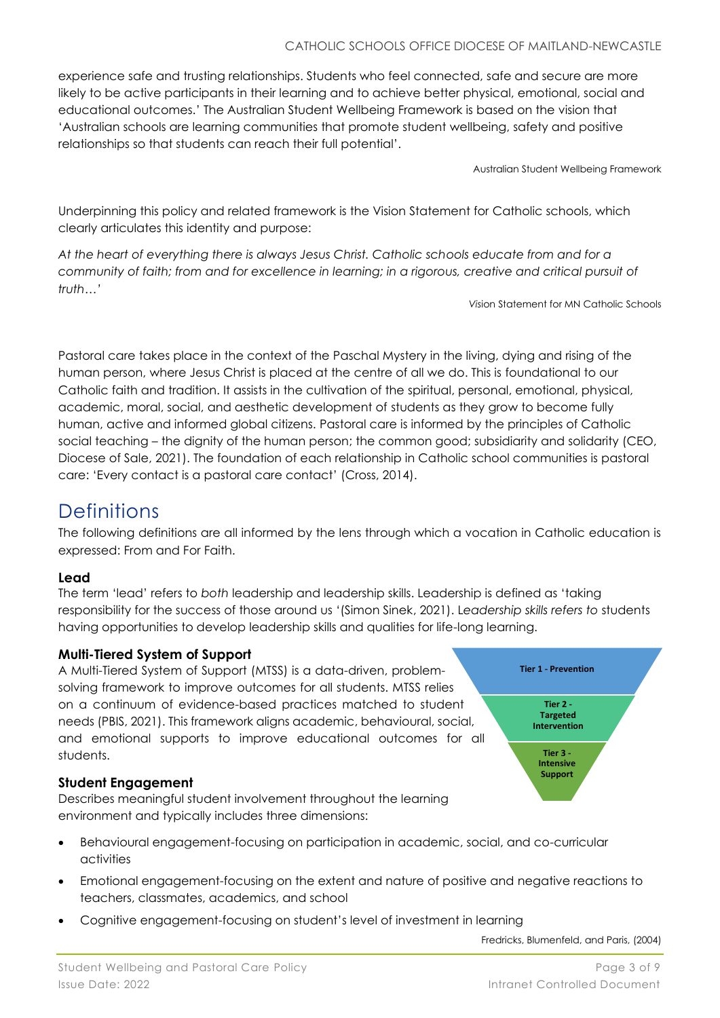experience safe and trusting relationships. Students who feel connected, safe and secure are more likely to be active participants in their learning and to achieve better physical, emotional, social and educational outcomes.' The Australian Student Wellbeing Framework is based on the vision that 'Australian schools are learning communities that promote student wellbeing, safety and positive relationships so that students can reach their full potential'.

Australian Student Wellbeing Framework

Underpinning this policy and related framework is the Vision Statement for Catholic schools, which clearly articulates this identity and purpose:

*At the heart of everything there is always Jesus Christ. Catholic schools educate from and for a community of faith; from and for excellence in learning; in a rigorous, creative and critical pursuit of truth…'*

*Vis*ion Statement for MN Catholic Schools

Pastoral care takes place in the context of the Paschal Mystery in the living, dying and rising of the human person, where Jesus Christ is placed at the centre of all we do. This is foundational to our Catholic faith and tradition. It assists in the cultivation of the spiritual, personal, emotional, physical, academic, moral, social, and aesthetic development of students as they grow to become fully human, active and informed global citizens. Pastoral care is informed by the principles of Catholic social teaching – the dignity of the human person; the common good; subsidiarity and solidarity (CEO, Diocese of Sale, 2021). The foundation of each relationship in Catholic school communities is pastoral care: 'Every contact is a pastoral care contact' (Cross, 2014).

### **Definitions**

The following definitions are all informed by the lens through which a vocation in Catholic education is expressed: From and For Faith.

### **Lead**

The term 'lead' refers to *both* leadership and leadership skills. Leadership is defined as 'taking responsibility for the success of those around us '(Simon Sinek, 2021). L*eadership skills refers to* students having opportunities to develop leadership skills and qualities for life-long learning.

### **Multi-Tiered System of Support**

A Multi-Tiered System of Support (MTSS) is a data-driven, problemsolving framework to improve outcomes for all students. MTSS relies on a continuum of evidence-based practices matched to student needs (PBIS, 2021). This framework aligns academic, behavioural, social, and emotional supports to improve educational outcomes for all students.

### **Student Engagement**

Describes meaningful student involvement throughout the learning environment and typically includes three dimensions:

- Behavioural engagement-focusing on participation in academic, social, and co-curricular activities
- Emotional engagement-focusing on the extent and nature of positive and negative reactions to teachers, classmates, academics, and school
- Cognitive engagement-focusing on student's level of investment in learning

Fredricks, Blumenfeld, and Paris, (2004)

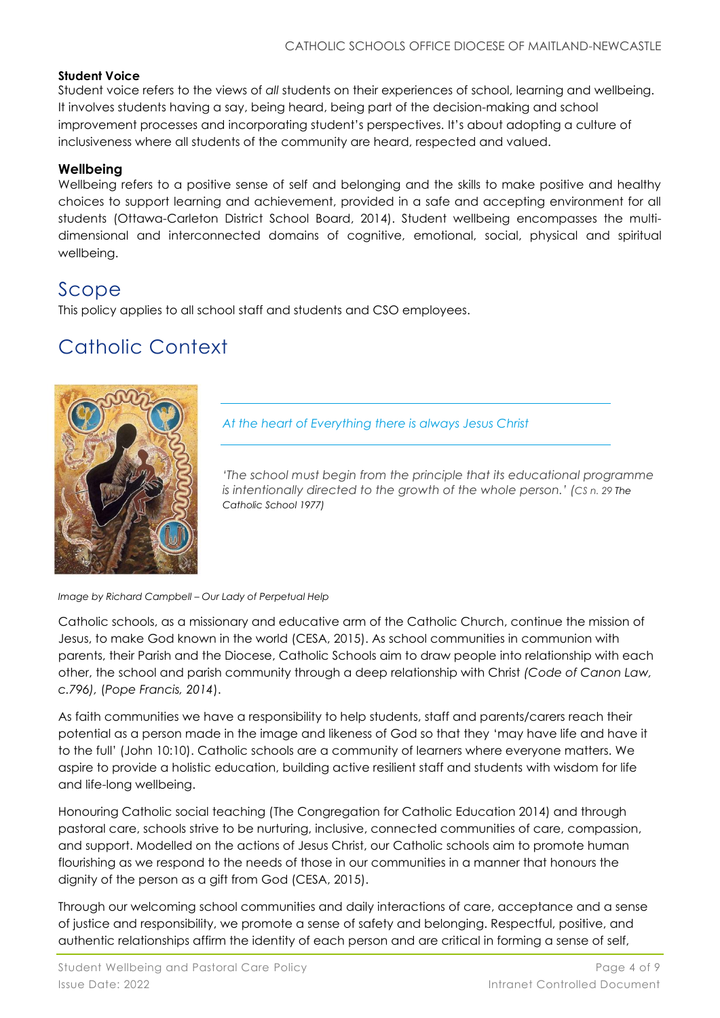#### **Student Voice**

Student voice refers to the views of *all* students on their experiences of school, learning and wellbeing. It involves students having a say, being heard, being part of the decision-making and school improvement processes and incorporating student's perspectives. It's about adopting a culture of inclusiveness where all students of the community are heard, respected and valued.

### **Wellbeing**

Wellbeing refers to a positive sense of self and belonging and the skills to make positive and healthy choices to support learning and achievement, provided in a safe and accepting environment for all students (Ottawa-Carleton District School Board, 2014). Student wellbeing encompasses the multidimensional and interconnected domains of cognitive, emotional, social, physical and spiritual wellbeing.

### Scope

This policy applies to all school staff and students and CSO employees.

# Catholic Context



*At the heart of Everything there is always Jesus Christ* 

*'The school must begin from the principle that its educational programme is intentionally directed to the growth of the whole person.' (CS n. 29 The Catholic School 1977)*

*Image by Richard Campbell – Our Lady of Perpetual Help*

Catholic schools, as a missionary and educative arm of the Catholic Church, continue the mission of Jesus, to make God known in the world (CESA, 2015). As school communities in communion with parents, their Parish and the Diocese, Catholic Schools aim to draw people into relationship with each other, the school and parish community through a deep relationship with Christ *(Code of Canon Law, c.796),* (*Pope Francis, 2014*).

As faith communities we have a responsibility to help students, staff and parents/carers reach their potential as a person made in the image and likeness of God so that they 'may have life and have it to the full' (John 10:10). Catholic schools are a community of learners where everyone matters. We aspire to provide a holistic education, building active resilient staff and students with wisdom for life and life-long wellbeing.

Honouring Catholic social teaching (The Congregation for Catholic Education 2014) and through pastoral care, schools strive to be nurturing, inclusive, connected communities of care, compassion, and support. Modelled on the actions of Jesus Christ, our Catholic schools aim to promote human flourishing as we respond to the needs of those in our communities in a manner that honours the dignity of the person as a gift from God (CESA, 2015).

Through our welcoming school communities and daily interactions of care, acceptance and a sense of justice and responsibility, we promote a sense of safety and belonging. Respectful, positive, and authentic relationships affirm the identity of each person and are critical in forming a sense of self,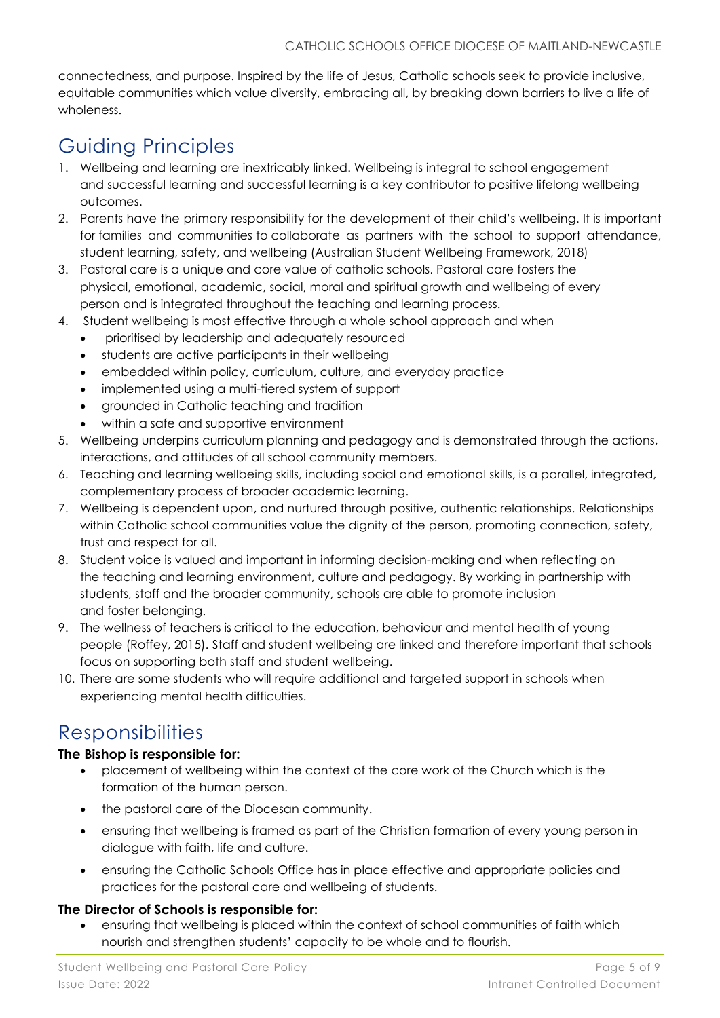connectedness, and purpose. Inspired by the life of Jesus, Catholic schools seek to provide inclusive, equitable communities which value diversity, embracing all, by breaking down barriers to live a life of wholeness.

# Guiding Principles

- 1. Wellbeing and learning are inextricably linked. Wellbeing is integral to school engagement and successful learning and successful learning is a key contributor to positive lifelong wellbeing outcomes.
- 2. Parents have the primary responsibility for the development of their child's wellbeing. It is important for families and communities to collaborate as partners with the school to support attendance, student learning, safety, and wellbeing (Australian Student Wellbeing Framework, 2018)
- 3. Pastoral care is a unique and core value of catholic schools. Pastoral care fosters the physical, emotional, academic, social, moral and spiritual growth and wellbeing of every person and is integrated throughout the teaching and learning process.
- 4. Student wellbeing is most effective through a whole school approach and when
	- prioritised by leadership and adequately resourced
	- students are active participants in their wellbeing
	- embedded within policy, curriculum, culture, and everyday practice
	- implemented using a multi-tiered system of support
	- grounded in Catholic teaching and tradition
	- within a safe and supportive environment
- 5. Wellbeing underpins curriculum planning and pedagogy and is demonstrated through the actions, interactions, and attitudes of all school community members.
- 6. Teaching and learning wellbeing skills, including social and emotional skills, is a parallel, integrated, complementary process of broader academic learning.
- 7. Wellbeing is dependent upon, and nurtured through positive, authentic relationships. Relationships within Catholic school communities value the dignity of the person, promoting connection, safety, trust and respect for all.
- 8. Student voice is valued and important in informing decision-making and when reflecting on the teaching and learning environment, culture and pedagogy. By working in partnership with students, staff and the broader community, schools are able to promote inclusion and foster belonging.
- 9. The wellness of teachers is critical to the education, behaviour and mental health of young people (Roffey, 2015). Staff and student wellbeing are linked and therefore important that schools focus on supporting both staff and student wellbeing.
- 10. There are some students who will require additional and targeted support in schools when experiencing mental health difficulties.

# Responsibilities

### **The Bishop is responsible for:**

- placement of wellbeing within the context of the core work of the Church which is the formation of the human person.
- the pastoral care of the Diocesan community.
- ensuring that wellbeing is framed as part of the Christian formation of every young person in dialogue with faith, life and culture.
- ensuring the Catholic Schools Office has in place effective and appropriate policies and practices for the pastoral care and wellbeing of students.

### **The Director of Schools is responsible for:**

• ensuring that wellbeing is placed within the context of school communities of faith which nourish and strengthen students' capacity to be whole and to flourish.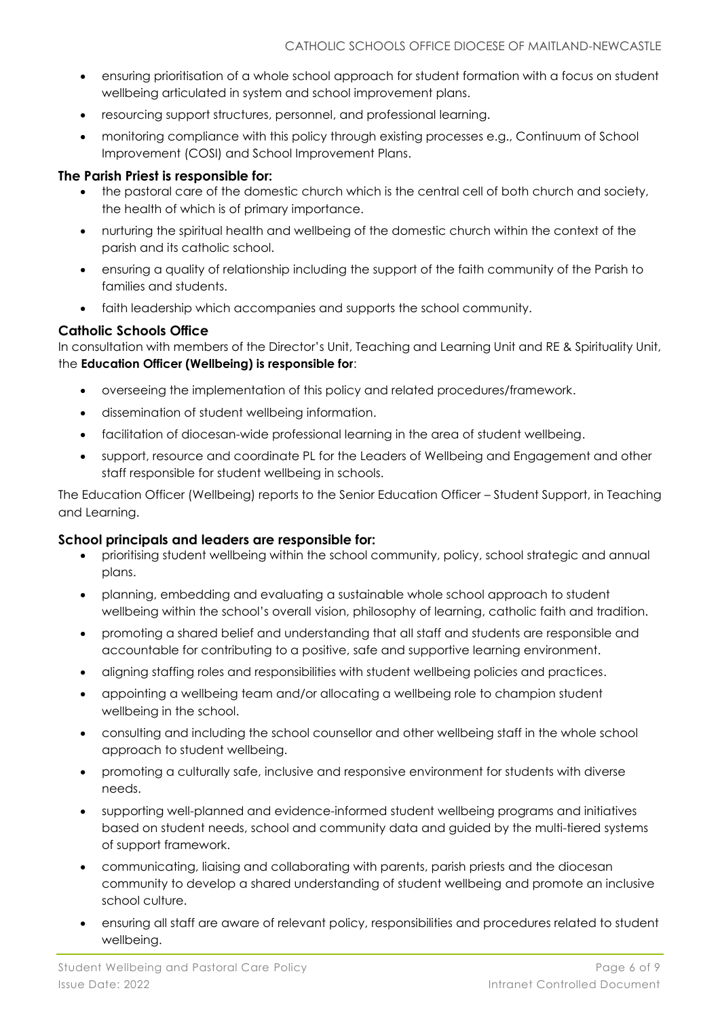- ensuring prioritisation of a whole school approach for student formation with a focus on student wellbeing articulated in system and school improvement plans.
- resourcing support structures, personnel, and professional learning.
- monitoring compliance with this policy through existing processes e.g., Continuum of School Improvement (COSI) and School Improvement Plans.

#### **The Parish Priest is responsible for:**

- the pastoral care of the domestic church which is the central cell of both church and society, the health of which is of primary importance.
- nurturing the spiritual health and wellbeing of the domestic church within the context of the parish and its catholic school.
- ensuring a quality of relationship including the support of the faith community of the Parish to families and students.
- faith leadership which accompanies and supports the school community.

### **Catholic Schools Office**

In consultation with members of the Director's Unit, Teaching and Learning Unit and RE & Spirituality Unit, the **Education Officer (Wellbeing) is responsible for**:

- overseeing the implementation of this policy and related procedures/framework.
- dissemination of student wellbeing information.
- facilitation of diocesan-wide professional learning in the area of student wellbeing.
- support, resource and coordinate PL for the Leaders of Wellbeing and Engagement and other staff responsible for student wellbeing in schools.

The Education Officer (Wellbeing) reports to the Senior Education Officer – Student Support, in Teaching and Learning.

#### **School principals and leaders are responsible for:**

- prioritising student wellbeing within the school community, policy, school strategic and annual plans.
- planning, embedding and evaluating a sustainable whole school approach to student wellbeing within the school's overall vision, philosophy of learning, catholic faith and tradition.
- promoting a shared belief and understanding that all staff and students are responsible and accountable for contributing to a positive, safe and supportive learning environment.
- aligning staffing roles and responsibilities with student wellbeing policies and practices.
- appointing a wellbeing team and/or allocating a wellbeing role to champion student wellbeing in the school.
- consulting and including the school counsellor and other wellbeing staff in the whole school approach to student wellbeing.
- promoting a culturally safe, inclusive and responsive environment for students with diverse needs.
- supporting well-planned and evidence-informed student wellbeing programs and initiatives based on student needs, school and community data and guided by the multi-tiered systems of support framework.
- communicating, liaising and collaborating with parents, parish priests and the diocesan community to develop a shared understanding of student wellbeing and promote an inclusive school culture.
- ensuring all staff are aware of relevant policy, responsibilities and procedures related to student wellbeing.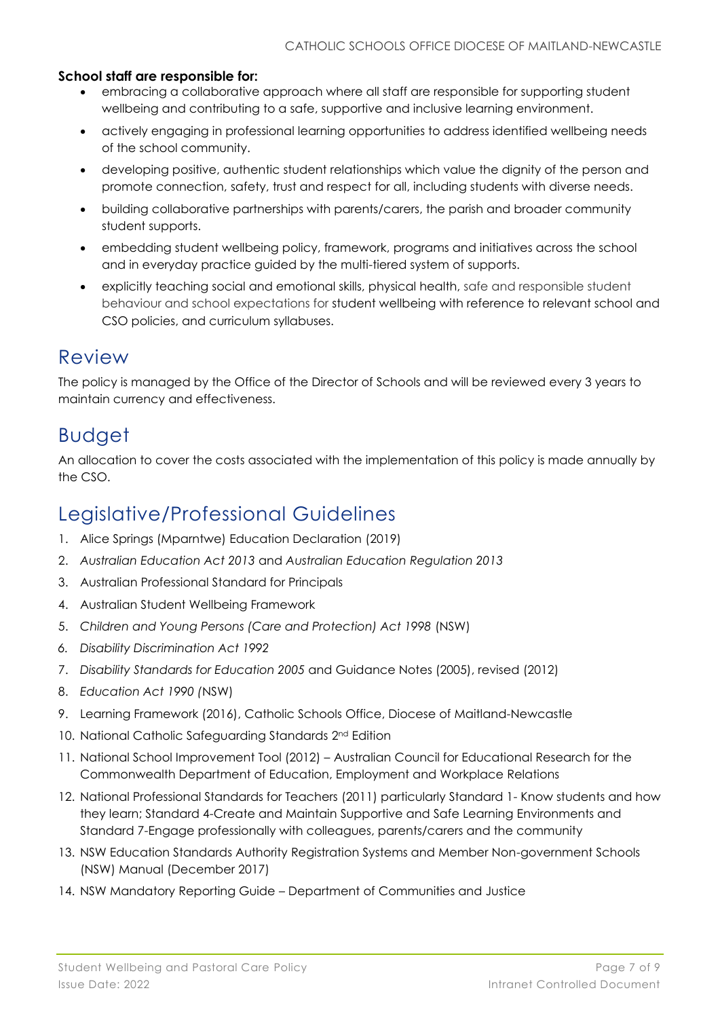#### **School staff are responsible for:**

- embracing a collaborative approach where all staff are responsible for supporting student wellbeing and contributing to a safe, supportive and inclusive learning environment.
- actively engaging in professional learning opportunities to address identified wellbeing needs of the school community.
- developing positive, authentic student relationships which value the dignity of the person and promote connection, safety, trust and respect for all, including students with diverse needs.
- building collaborative partnerships with parents/carers, the parish and broader community student supports.
- embedding student wellbeing policy, framework, programs and initiatives across the school and in everyday practice guided by the multi-tiered system of supports.
- explicitly teaching social and emotional skills, physical health, safe and responsible student behaviour and school expectations for student wellbeing with reference to relevant school and CSO policies, and curriculum syllabuses.

### Review

The policy is managed by the Office of the Director of Schools and will be reviewed every 3 years to maintain currency and effectiveness.

### Budget

An allocation to cover the costs associated with the implementation of this policy is made annually by the CSO.

# Legislative/Professional Guidelines

- 1. Alice Springs (Mparntwe) Education Declaration (2019)
- 2. *Australian Education Act 2013* and *Australian Education Regulation 2013*
- 3. Australian Professional Standard for Principals
- 4. Australian Student Wellbeing Framework
- 5. *Children and Young Persons (Care and Protection) Act 1998* (NSW)
- *6. Disability Discrimination Act 1992*
- 7. *Disability Standards for Education 2005* and Guidance Notes (2005), revised (2012)
- 8. *Education Act 1990 (*NSW)
- 9. Learning Framework (2016), Catholic Schools Office, Diocese of Maitland-Newcastle
- 10. National Catholic Safeguarding Standards 2nd Edition
- 11. National School Improvement Tool (2012) Australian Council for Educational Research for the Commonwealth Department of Education, Employment and Workplace Relations
- 12. National Professional Standards for Teachers (2011) particularly Standard 1- Know students and how they learn; Standard 4-Create and Maintain Supportive and Safe Learning Environments and Standard 7-Engage professionally with colleagues, parents/carers and the community
- 13. NSW Education Standards Authority Registration Systems and Member Non-government Schools (NSW) Manual (December 2017)
- 14. NSW Mandatory Reporting Guide Department of Communities and Justice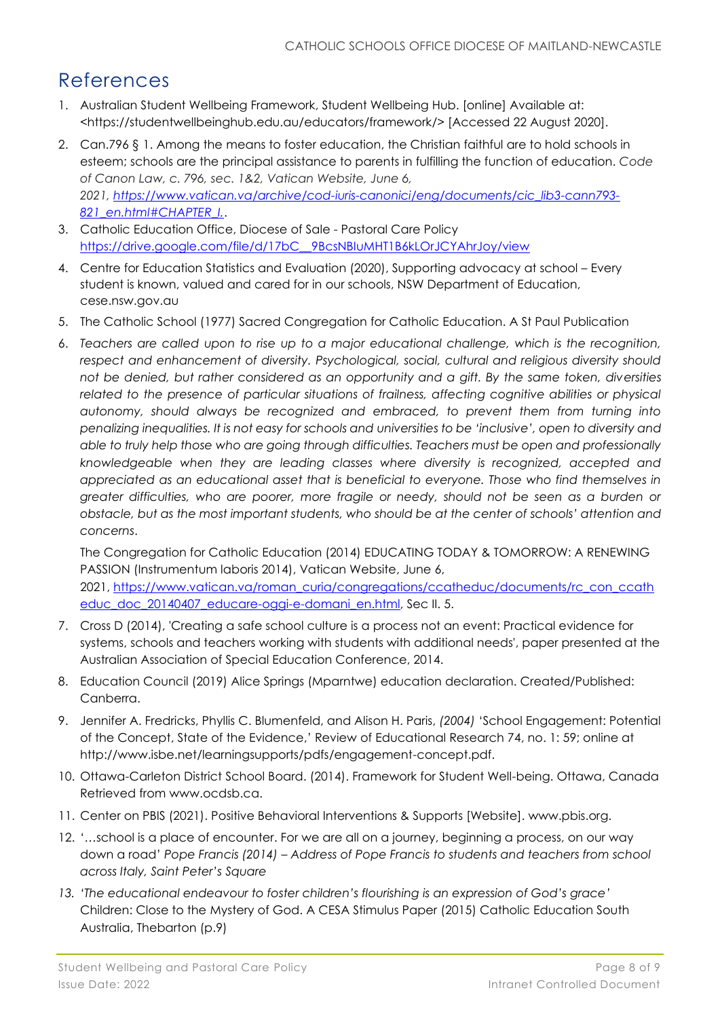### References

- 1. Australian Student Wellbeing Framework, Student Wellbeing Hub. [online] Available at: <https://studentwellbeinghub.edu.au/educators/framework/> [Accessed 22 August 2020].
- 2. Can.796 § 1. Among the means to foster education, the Christian faithful are to hold schools in esteem; schools are the principal assistance to parents in fulfilling the function of education. *Code of Canon Law, c. 796, sec. 1&2, Vatican Website, June 6, 2021, [https://www.vatican.va/archive/cod-iuris-canonici/eng/documents/cic\\_lib3-cann793-](https://www.vatican.va/archive/cod-iuris-canonici/eng/documents/cic_lib3-cann793-821_en.html#CHAPTER_I.) [821\\_en.html#CHAPTER\\_I.](https://www.vatican.va/archive/cod-iuris-canonici/eng/documents/cic_lib3-cann793-821_en.html#CHAPTER_I.)*.
- 3. Catholic Education Office, Diocese of Sale Pastoral Care Policy [https://drive.google.com/file/d/17bC\\_\\_9BcsNBIuMHT1B6kLOrJCYAhrJoy/view](https://drive.google.com/file/d/17bC__9BcsNBIuMHT1B6kLOrJCYAhrJoy/view)
- 4. Centre for Education Statistics and Evaluation (2020), Supporting advocacy at school Every student is known, valued and cared for in our schools, NSW Department of Education, cese.nsw.gov.au
- 5. The Catholic School (1977) Sacred Congregation for Catholic Education. A St Paul Publication
- 6. *Teachers are called upon to rise up to a major educational challenge, which is the recognition, respect and enhancement of diversity. Psychological, social, cultural and religious diversity should not be denied, but rather considered as an opportunity and a gift. By the same token, diversities*  related to the presence of particular situations of frailness, affecting cognitive abilities or physical *autonomy, should always be recognized and embraced, to prevent them from turning into penalizing inequalities. It is not easy for schools and universities to be 'inclusive', open to diversity and able to truly help those who are going through difficulties. Teachers must be open and professionally knowledgeable when they are leading classes where diversity is recognized, accepted and appreciated as an educational asset that is beneficial to everyone. Those who find themselves in greater difficulties, who are poorer, more fragile or needy, should not be seen as a burden or obstacle, but as the most important students, who should be at the center of schools' attention and concerns*.

The Congregation for Catholic Education (2014) EDUCATING TODAY & TOMORROW: A RENEWING PASSION (Instrumentum laboris 2014), Vatican Website, June 6, 2021, [https://www.vatican.va/roman\\_curia/congregations/ccatheduc/documents/rc\\_con\\_ccath](https://www.vatican.va/roman_curia/congregations/ccatheduc/documents/rc_con_ccatheduc_doc_20140407_educare-oggi-e-domani_en.html) educ doc 20140407 educare-oggi-e-domani en.html, Sec II. 5.

- 7. Cross D (2014), 'Creating a safe school culture is a process not an event: Practical evidence for systems, schools and teachers working with students with additional needs', paper presented at the Australian Association of Special Education Conference, 2014.
- 8. Education Council (2019) Alice Springs (Mparntwe) education declaration. Created/Published: Canberra.
- 9. Jennifer A. Fredricks, Phyllis C. Blumenfeld, and Alison H. Paris, *(2004)* 'School Engagement: Potential of the Concept, State of the Evidence,' Review of Educational Research 74, no. 1: 59; online at http://www.isbe.net/learningsupports/pdfs/engagement-concept.pdf.
- 10. Ottawa-Carleton District School Board. (2014). Framework for Student Well-being. Ottawa, Canada Retrieved from www.ocdsb.ca.
- 11. Center on PBIS (2021). Positive Behavioral Interventions & Supports [Website]. www.pbis.org.
- 12. '…school is a place of encounter. For we are all on a journey, beginning a process, on our way down a road' *Pope Francis (2014) – Address of Pope Francis to students and teachers from school across Italy, Saint Peter's Square*
- *13. 'The educational endeavour to foster children's flourishing is an expression of God's grace'* Children: Close to the Mystery of God. A CESA Stimulus Paper (2015) Catholic Education South Australia, Thebarton (p.9)